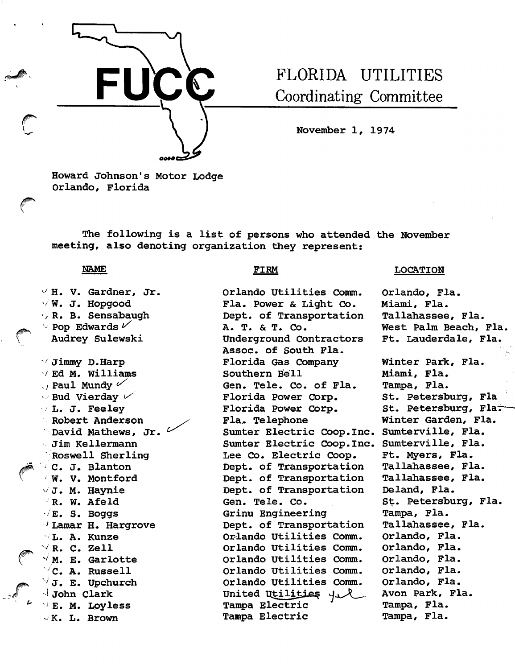

# FLORIDA UTILITIES Coordinating Committee

November 1, 1974

Howard Johnson's Motor Lodge Orlando, Florida

The following is a list of persons who attended the November meeting, also denoting organization they represent:

### NAME

 $\vee$  H. V. Gardner, Jr.  $\sqrt{W}$ . J. Hopgood y R. B. Sensabaugh  $\backsim$  Pop Edwards  $\nu'$ Audrey Sulewski  $\vee$  Jimmy D.Harp  $\vee$  Ed M. William<br> $\vee$  Paul Mundy  $\checkmark$  ${}^{\rm /}$  Lamar H. Hargrove  $\vee$  R. C. Zell Ed M. Williams  $\vee$  Bud Vierday  $\nu'$ L. J. Feeley Robert Anderson David Ma thews, Jr. Jim Kellermann Roswell Sherling C. J. Blanton W. V. Montford  $\vee$  J. M. Haynie R. W. Afeld  $\sqrt{E}$ . S. Boggs L. A. Kunze  $\sqrt{M}$ . E. Garlotte  $\vee$ C. A. Russell  $\forall$  J. E. Upchurch  $\sim$  John Clark **E. M. Loyless** K. L. Brown

i'

## FIRM

Orlando Utilities Comm. Fla. Power & Light Co. Dept. of Transportation A. T. & T. Co. Underground Contractors Assoc. of South Fla. Florida Gas Company Southern Bell Gen. Tele. Co. of Fla. Florida Power Corp. Florida Power Corp. Fla> Telephone Sumter Electric Coop. Inc. Sumter Electric Coop.Inc. Lee Co. Electric Coop. Dept. of Transportation Dept. of Transportation Dept. of Transportation Gen. Tele. Co. Grinu Engineering Dept. of Transportation Orlando Utilities Comm. Orlando Utilities Comm. Orlando Utilities Comm. Orlando Utilities Comm. Orlando Utilities Comm. United Utilities 4 R Tampa Electric Tampa Electric

# **LOCATION**

Orlando, Fla. Miami, Fla. Tallahassee, Fla. West Palm Beach, Fla. Ft. Lauderdale, Fla. Winter Park, Fla. Miami, Fla. Tampa, Fla. St. Petersburg, Fla St. Petersburg, Flat Winter Garden, Fla. Sumterville, Fla. Sumterville, Fla. Ft. Myers, Fla. Tallahassee, Fla. Tallahassee, Fla. Deland, Fla. St. Petersburg, Fla. Tampa, Fla. Tallahassee, Fla. Orlando, Fla. Orlando, Fla. Orlando, Fla. Orlando, Fla. Orlando, Fla. Avon Park, Fla. Tampa, Fla. Tampa, Fla.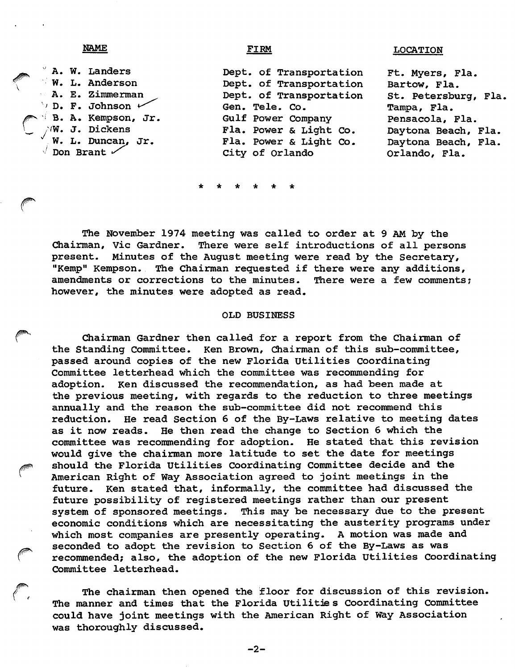# NAME **IOCATION**

 $^{\circ}$  A. W. Landers W. L. Anderson A. E. Zimmerman  $\vee$  D. F. Johnson  $\swarrow$ ^ B. A. Kempson, Jr.  $\wedge^{\mathsf{i}}\mathsf{W}\textnormal{.}$  J. Dickens  $\checkmark$  W. L. Duncan, Jr.  $\sqrt{2}$  Don Brant  $\sqrt{2}$ Dept. of Transportation Dept. of Transportation Dept. of Transportation Gen. Tele. Co. Gulf Power Company Fla. Power & Light Co. Fla. Power & Light Co. City of Orlando Ft. Myers, Fla. Bartow, Fla. St. Petersburg, Fla. Tampa, Fla. Pensacola, Fla. Daytona Beach, Fla. Daytona Beach, Fla. Orlando, Fla.

The November 1974 meeting was called to order at 9 AM by the Chairman, Vic Gardner. There were self introductions of all persons present. Minutes of the August meeting were read by the Secretary, "Kemp" Kempson. The Chairman requested if there were any additions, amendments or corrections to the minutes. There were a few comments; however, the minutes were adopted as read,

### OLD BUSINESS

Chairman Gardner then called for a report from the Chairman of the Standing Committee. Ken Brown, Chairman of this sub-committee, passed around copies of the new Florida Utilities Coordinating Committee letterhead which the committee was recommending for adoption. Ken discussed the recommendation, as had been made at the previous meeting, with regards to the reduction to three meetings annually and the reason the sub-committee did not recommend this reduction. He read Section 6 of the By-Laws relative to meeting dates as it now reads. He then read the change to Section 6 which the committee was recommending for adoption. He stated that this revision would give the chairman more latitude to set the date for meetings should the Florida Utilities Coordinating Committee decide and the American Right of Way Association agreed to joint meetings in the future. Ken stated that, informally, the committee had discussed the future possibility of registered meetings rather than our present system of sponsored meetings. This may be necessary due to the present economic conditions which are necessitating the austerity programs under which most companies are presently operating. A motion was made and seconded to adopt the revision to Section 6 of the By-Laws as was recommended; also, the adoption of the new Florida Utilities Coordinating Committee letterhead.

The chairman then opened the floor for discussion of this revision. The manner and times that the Florida Utilitie s Coordinating Committee could have joint meetings with the American Right of way Association was thoroughly discussed.

-2-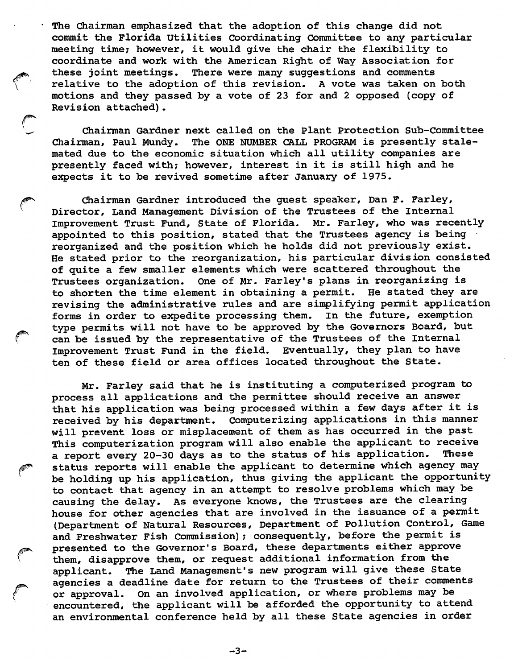The Chairman emphasized that the adoption of this change did not commit the Florida utilities Coordinating Committee to any particular meeting time; however, it would give the chair the flexibility to coordinate and work with the American Right of Way Association for these joint meetings. There were many suggestions and comments relative to the adoption of this revision. A vote was taken on both motions and they passed by a vote of 23 for and 2 opposed (copy of Revision attached).

Chairman Gardner next called on the Plant Protection Sub-Committee Chairman, Paul Mundy. The ONE NUMBER CALL PROGRAM is presently stale mated due to the economic situation which all utility companies are presently faced with; however, interest in it is still high and he expects it to be revived sometime after January of 1975.

Chairman Gardner introduced the guest speaker, Dan F. Farley, Director, Land Management Division of the Trustees of the internal Improvement Trust Fund, State of Florida. Mr. Farley, who was recently appointed to this position, stated that the Trustees agency is being reorganized and the position which he holds did not previously exist. He stated prior to the reorganization, his particular division consisted of quite a few smaller elements which were scattered throughout the Trustees organization. One of Mr. Farley's plans in reorganizing is to shorten the time element in obtaining a permit. He stated they are revising the administrative rules and are simplifying permit application<br>forms in order to expedite processing them. In the future, exemption forms in order to expedite processing them. type permits will not have to be approved by the Governors Board, but can be issued by the representative of the Trustees of the internal Improvement Trust Fund in the field. Eventually, they plan to have ten of these field or area offices located throughout the State.

Mr. Farley said that he is instituting a computerized program to process all applications and the permittee should receive an answer that his application was being processed within a few days after it is received by his department. Computerizing applications in this manner will prevent loss or misplacement of them as has occurred in the past This computerization program will also enable the applicant to receive<br>a report every 20-30 days as to the status of his application. These a report every 20-30 days as to the status of his application. status reports will enable the applicant to determine which agency may be holding up his application, thus giving the applicant the opportunity to contact that agency in an attempt to resolve problems which may be causing the delay. As everyone knows, the Trustees are the clearing house for other agencies that are involved in the issuance of a permit (Department of Natural Resources, Department of Pollution Control, Game and Freshwater Fish Commission); consequently, before the permit is presented to the Governor's Board, these departments either approve them, disapprove them, or request additional information from the applicant. The Land Management's new program will give these State agencies a deadline date for return to the Trustees of their comments or approval. On an involved application, or where problems may be encountered, the applicant will be afforded the opportunity to attend an environmental conference held by all these State agencies in order

-3-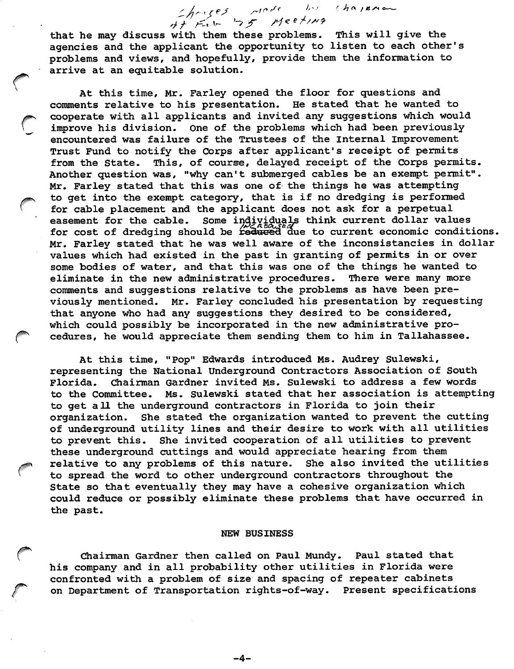thouses work by chasene that he may discuss with them these problems. This will give the agencies and the applicant the opportunity to listen to each other's problems and views, and hopefully, provide them the information to arrive at an equitable solution.

At this time, Mr. Farley opened the floor for questions and comments relative to his presentation. He stated that he wanted to cooperate with all applicants and invited any suggestions which would improve his division. One of the problems which had been previously encountered was failure of the Trustees of the Internal improvement Trust Fund to notify the Corps after applicant's receipt of permits from the State. This, of course, delayed receipt of the Corps permits. Another question was, "why can't submerged cables be an exempt permit". Mr, Farley stated that this was one of the things he was attempting to get into the exempt category, that is if no dredging is performed for cable placement and the applicant does not ask for a perpetual easement for the cable. Some individuals think current dollar values for cost of dredging should be reduced due to current economic conditions. Mr. Farley stated that he was well aware of the inconsistancies in dollar values which had existed in the past in granting of permits in or over some bodies of water, and that this was one of the things he wanted to eliminate in the new administrative procedures. There were many more eliminate in the new administrative procedures. comments and suggestions relative to the problems as have been pre viously mentioned. Mr. Farley concluded his presentation by requesting that anyone who had any suggestions they desired to be considered, which could possibly be incorporated in the new administrative pro cedures, he would appreciate them sending them to him in Tallahassee.

At this time, "Pop" Edwards introduced Ms. Audrey Sulewski, representing the National Underground Contractors Association of South Florida. Chairman Gardner invited Ms. Sulewski to address a few words to the Committee. Ms. Sulewski stated that her association is attempting to get all the underground contractors in Florida to join their organization. She stated the organization wanted to prevent the cutting of underground utility lines and their desire to work with all utilities to prevent this. She invited cooperation of all utilities to prevent these underground cuttings and would appreciate hearing from them relative to any problems of this nature. She also invited the utilities to spread the word to other underground contractors throughout the State so that eventually they may have a cohesive organization which could reduce or possibly eliminate these problems that have occurred in the past.

### MEW BUSINESS

Chairman Gardner then called on Paul Mundy. Paul stated that his company and in all probability other utilities in Florida were confronted with a problem of size and spacing of repeater cabinets on Department of Transportation rights-of-way. Present specifications

-4-